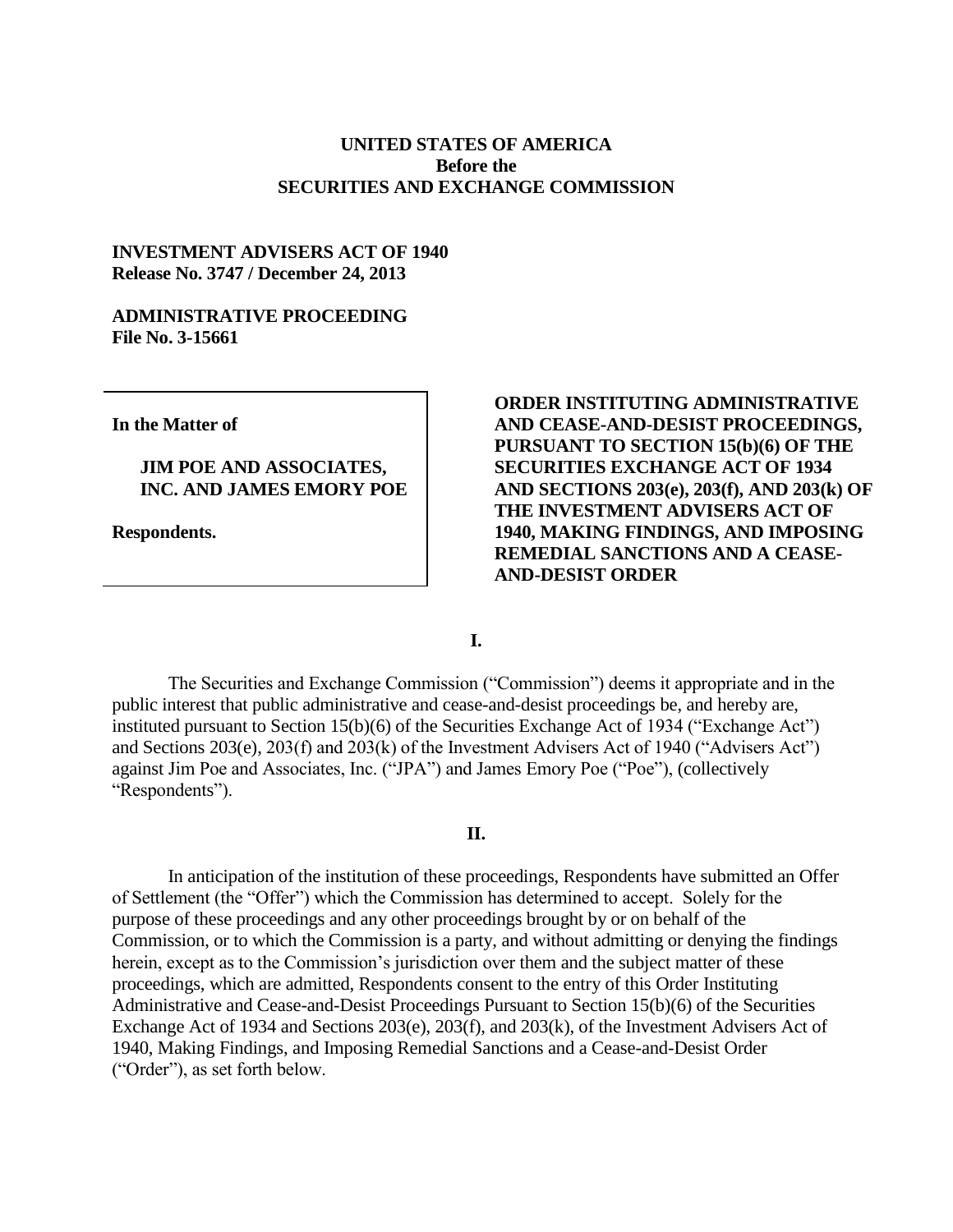## **UNITED STATES OF AMERICA Before the SECURITIES AND EXCHANGE COMMISSION**

## **INVESTMENT ADVISERS ACT OF 1940 Release No. 3747 / December 24, 2013**

### **ADMINISTRATIVE PROCEEDING File No. 3-15661**

**In the Matter of**

## **JIM POE AND ASSOCIATES, INC. AND JAMES EMORY POE**

**Respondents.**

# **ORDER INSTITUTING ADMINISTRATIVE AND CEASE-AND-DESIST PROCEEDINGS, PURSUANT TO SECTION 15(b)(6) OF THE SECURITIES EXCHANGE ACT OF 1934 AND SECTIONS 203(e), 203(f), AND 203(k) OF THE INVESTMENT ADVISERS ACT OF 1940, MAKING FINDINGS, AND IMPOSING REMEDIAL SANCTIONS AND A CEASE-AND-DESIST ORDER**

**I.**

The Securities and Exchange Commission ("Commission") deems it appropriate and in the public interest that public administrative and cease-and-desist proceedings be, and hereby are, instituted pursuant to Section 15(b)(6) of the Securities Exchange Act of 1934 ("Exchange Act") and Sections 203(e), 203(f) and 203(k) of the Investment Advisers Act of 1940 ("Advisers Act") against Jim Poe and Associates, Inc. ("JPA") and James Emory Poe ("Poe"), (collectively "Respondents").

#### **II.**

In anticipation of the institution of these proceedings, Respondents have submitted an Offer of Settlement (the "Offer") which the Commission has determined to accept. Solely for the purpose of these proceedings and any other proceedings brought by or on behalf of the Commission, or to which the Commission is a party, and without admitting or denying the findings herein, except as to the Commission's jurisdiction over them and the subject matter of these proceedings, which are admitted, Respondents consent to the entry of this Order Instituting Administrative and Cease-and-Desist Proceedings Pursuant to Section 15(b)(6) of the Securities Exchange Act of 1934 and Sections 203(e), 203(f), and 203(k), of the Investment Advisers Act of 1940, Making Findings, and Imposing Remedial Sanctions and a Cease-and-Desist Order ("Order"), as set forth below.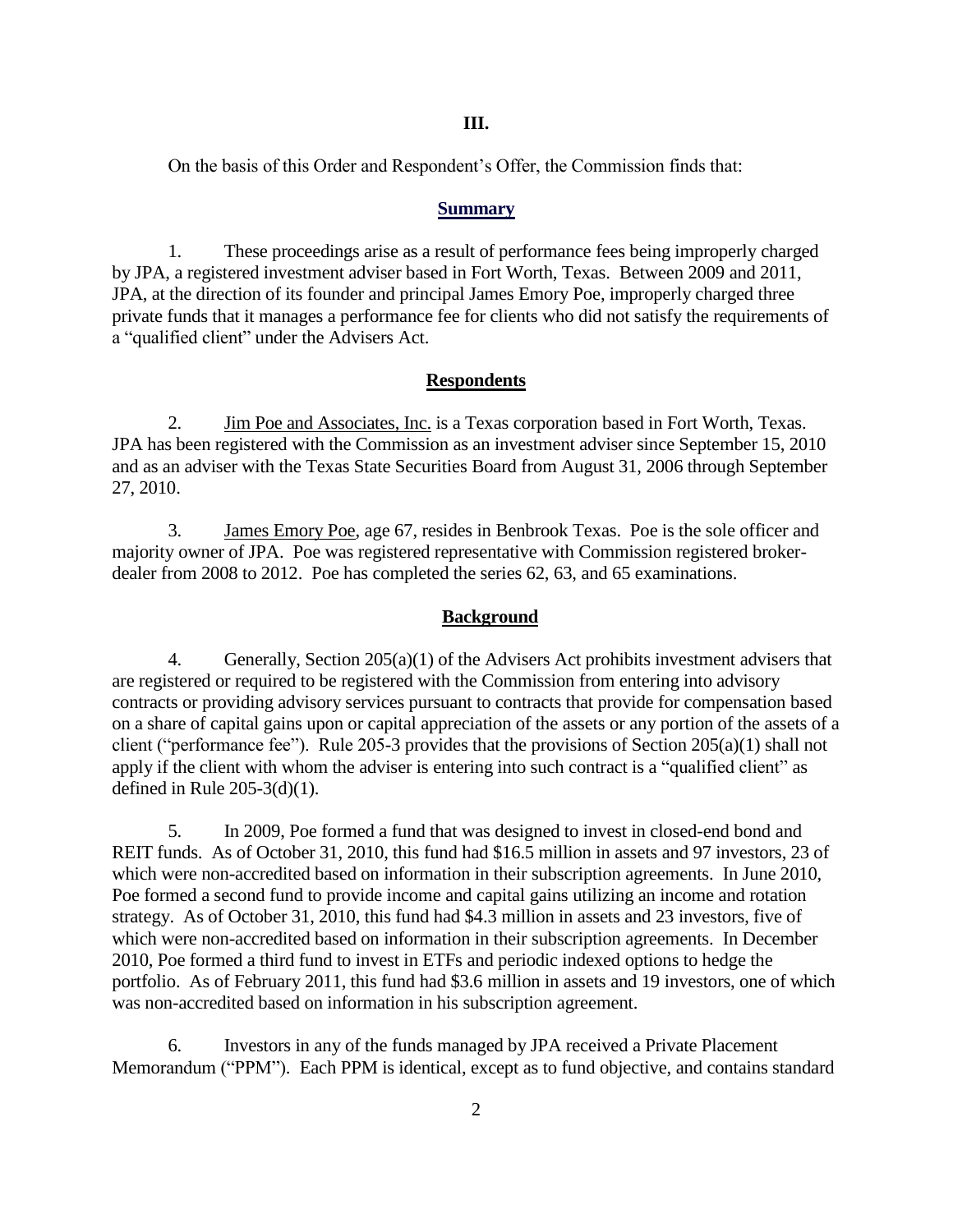**III.**

On the basis of this Order and Respondent's Offer, the Commission finds that:

#### **Summary**

1. These proceedings arise as a result of performance fees being improperly charged by JPA, a registered investment adviser based in Fort Worth, Texas. Between 2009 and 2011, JPA, at the direction of its founder and principal James Emory Poe, improperly charged three private funds that it manages a performance fee for clients who did not satisfy the requirements of a "qualified client" under the Advisers Act.

#### **Respondents**

2. Jim Poe and Associates, Inc. is a Texas corporation based in Fort Worth, Texas. JPA has been registered with the Commission as an investment adviser since September 15, 2010 and as an adviser with the Texas State Securities Board from August 31, 2006 through September 27, 2010.

3. James Emory Poe, age 67, resides in Benbrook Texas. Poe is the sole officer and majority owner of JPA. Poe was registered representative with Commission registered brokerdealer from 2008 to 2012. Poe has completed the series 62, 63, and 65 examinations.

#### **Background**

4. Generally, Section 205(a)(1) of the Advisers Act prohibits investment advisers that are registered or required to be registered with the Commission from entering into advisory contracts or providing advisory services pursuant to contracts that provide for compensation based on a share of capital gains upon or capital appreciation of the assets or any portion of the assets of a client ("performance fee"). Rule 205-3 provides that the provisions of Section 205(a)(1) shall not apply if the client with whom the adviser is entering into such contract is a "qualified client" as defined in Rule  $205-3(d)(1)$ .

5. In 2009, Poe formed a fund that was designed to invest in closed-end bond and REIT funds. As of October 31, 2010, this fund had \$16.5 million in assets and 97 investors, 23 of which were non-accredited based on information in their subscription agreements. In June 2010, Poe formed a second fund to provide income and capital gains utilizing an income and rotation strategy. As of October 31, 2010, this fund had \$4.3 million in assets and 23 investors, five of which were non-accredited based on information in their subscription agreements. In December 2010, Poe formed a third fund to invest in ETFs and periodic indexed options to hedge the portfolio. As of February 2011, this fund had \$3.6 million in assets and 19 investors, one of which was non-accredited based on information in his subscription agreement.

6. Investors in any of the funds managed by JPA received a Private Placement Memorandum ("PPM"). Each PPM is identical, except as to fund objective, and contains standard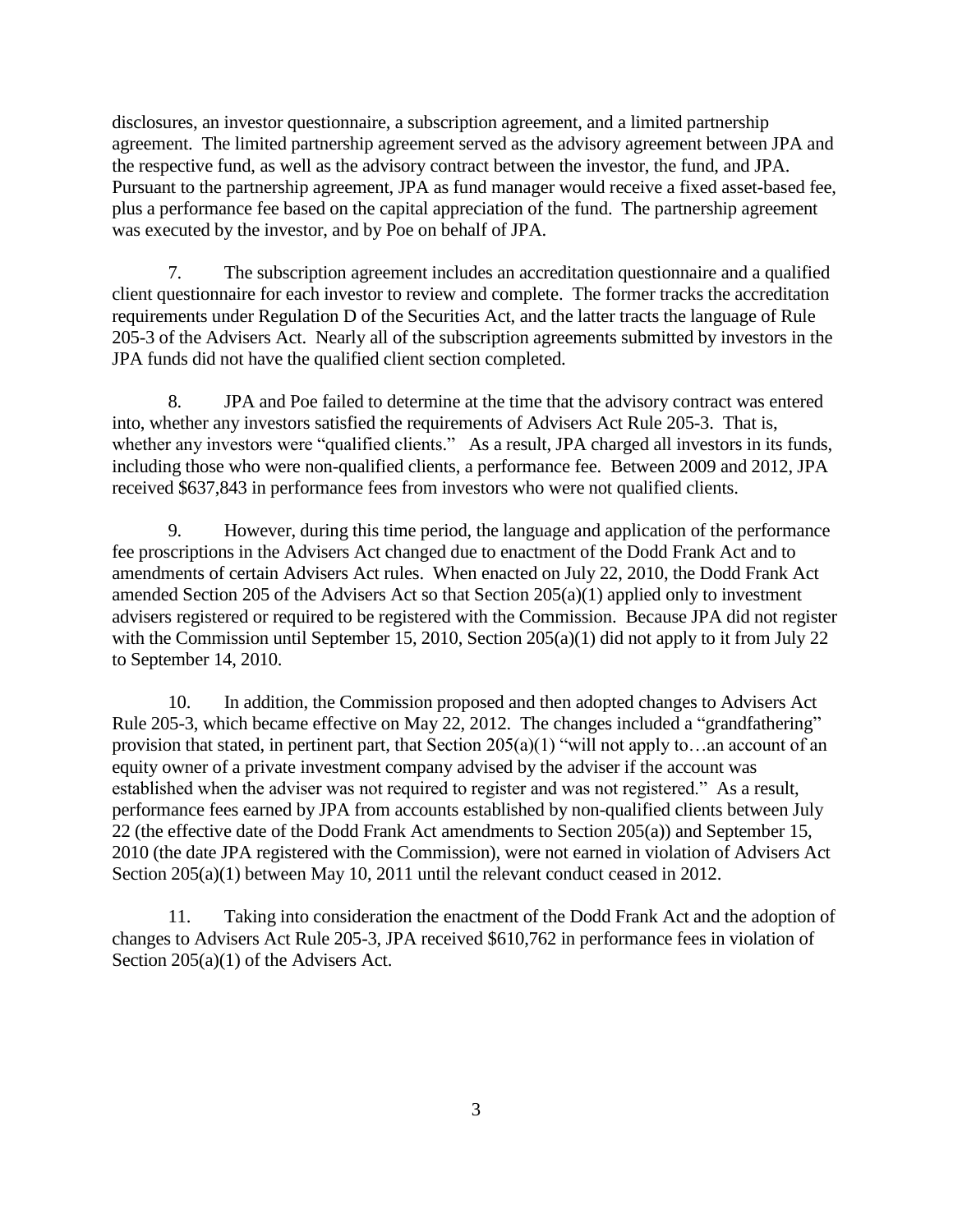disclosures, an investor questionnaire, a subscription agreement, and a limited partnership agreement. The limited partnership agreement served as the advisory agreement between JPA and the respective fund, as well as the advisory contract between the investor, the fund, and JPA. Pursuant to the partnership agreement, JPA as fund manager would receive a fixed asset-based fee, plus a performance fee based on the capital appreciation of the fund. The partnership agreement was executed by the investor, and by Poe on behalf of JPA.

7. The subscription agreement includes an accreditation questionnaire and a qualified client questionnaire for each investor to review and complete. The former tracks the accreditation requirements under Regulation D of the Securities Act, and the latter tracts the language of Rule 205-3 of the Advisers Act. Nearly all of the subscription agreements submitted by investors in the JPA funds did not have the qualified client section completed.

8. JPA and Poe failed to determine at the time that the advisory contract was entered into, whether any investors satisfied the requirements of Advisers Act Rule 205-3. That is, whether any investors were "qualified clients." As a result, JPA charged all investors in its funds, including those who were non-qualified clients, a performance fee. Between 2009 and 2012, JPA received \$637,843 in performance fees from investors who were not qualified clients.

9. However, during this time period, the language and application of the performance fee proscriptions in the Advisers Act changed due to enactment of the Dodd Frank Act and to amendments of certain Advisers Act rules. When enacted on July 22, 2010, the Dodd Frank Act amended Section 205 of the Advisers Act so that Section 205(a)(1) applied only to investment advisers registered or required to be registered with the Commission. Because JPA did not register with the Commission until September 15, 2010, Section 205(a)(1) did not apply to it from July 22 to September 14, 2010.

10. In addition, the Commission proposed and then adopted changes to Advisers Act Rule 205-3, which became effective on May 22, 2012. The changes included a "grandfathering" provision that stated, in pertinent part, that Section 205(a)(1) "will not apply to…an account of an equity owner of a private investment company advised by the adviser if the account was established when the adviser was not required to register and was not registered." As a result, performance fees earned by JPA from accounts established by non-qualified clients between July 22 (the effective date of the Dodd Frank Act amendments to Section 205(a)) and September 15, 2010 (the date JPA registered with the Commission), were not earned in violation of Advisers Act Section 205(a)(1) between May 10, 2011 until the relevant conduct ceased in 2012.

11. Taking into consideration the enactment of the Dodd Frank Act and the adoption of changes to Advisers Act Rule 205-3, JPA received \$610,762 in performance fees in violation of Section 205(a)(1) of the Advisers Act.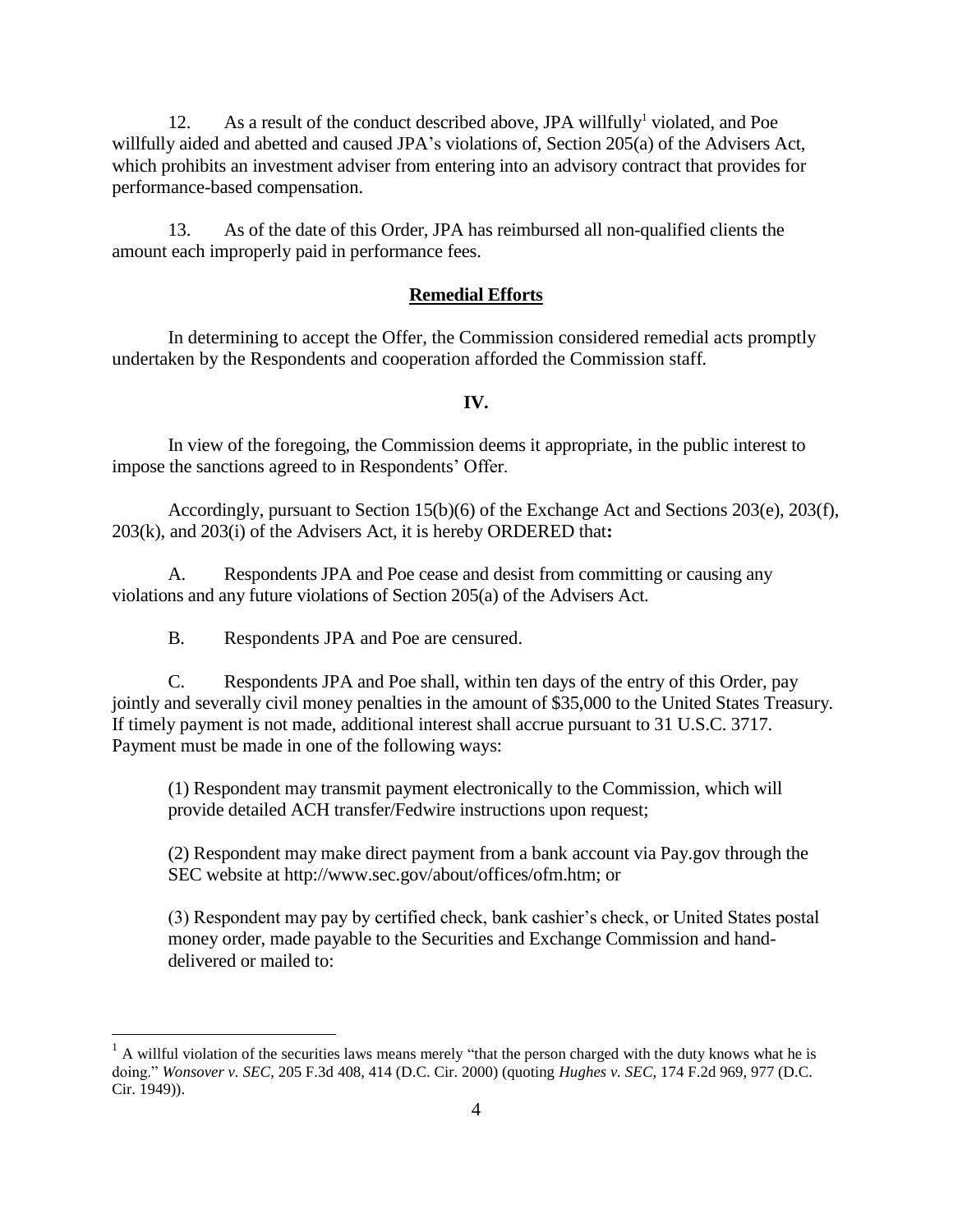12. As a result of the conduct described above, JPA will fully<sup>1</sup> violated, and Poe willfully aided and abetted and caused JPA's violations of, Section 205(a) of the Advisers Act, which prohibits an investment adviser from entering into an advisory contract that provides for performance-based compensation.

13. As of the date of this Order, JPA has reimbursed all non-qualified clients the amount each improperly paid in performance fees.

### **Remedial Efforts**

In determining to accept the Offer, the Commission considered remedial acts promptly undertaken by the Respondents and cooperation afforded the Commission staff*.* 

## **IV.**

In view of the foregoing, the Commission deems it appropriate, in the public interest to impose the sanctions agreed to in Respondents' Offer.

Accordingly, pursuant to Section 15(b)(6) of the Exchange Act and Sections 203(e), 203(f), 203(k), and 203(i) of the Advisers Act, it is hereby ORDERED that**:**

A. Respondents JPA and Poe cease and desist from committing or causing any violations and any future violations of Section 205(a) of the Advisers Act.

B. Respondents JPA and Poe are censured.

 $\overline{a}$ 

C. Respondents JPA and Poe shall, within ten days of the entry of this Order, pay jointly and severally civil money penalties in the amount of \$35,000 to the United States Treasury*.* If timely payment is not made, additional interest shall accrue pursuant to 31 U.S.C. 3717. Payment must be made in one of the following ways:

(1) Respondent may transmit payment electronically to the Commission, which will provide detailed ACH transfer/Fedwire instructions upon request;

(2) Respondent may make direct payment from a bank account via Pay.gov through the SEC website at http://www.sec.gov/about/offices/ofm.htm; or

(3) Respondent may pay by certified check, bank cashier's check, or United States postal money order, made payable to the Securities and Exchange Commission and handdelivered or mailed to:

 $<sup>1</sup>$  A willful violation of the securities laws means merely "that the person charged with the duty knows what he is</sup> doing." *Wonsover v. SEC*, 205 F.3d 408, 414 (D.C. Cir. 2000) (quoting *Hughes v. SEC*, 174 F.2d 969, 977 (D.C. Cir. 1949)).